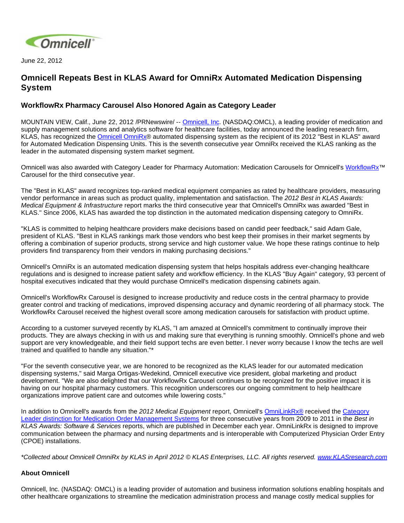

June 22, 2012

## **Omnicell Repeats Best in KLAS Award for OmniRx Automated Medication Dispensing System**

## **WorkflowRx Pharmacy Carousel Also Honored Again as Category Leader**

MOUNTAIN VIEW, Calif., June 22, 2012 /PRNewswire/ -- [Omnicell, Inc](http://www.omnicell.com/). (NASDAQ:OMCL), a leading provider of medication and supply management solutions and analytics software for healthcare facilities, today announced the leading research firm, KLAS, has recognized the **[Omnicell OmniRx](http://www.klasresearch.com/Research/Products/?id=1775)®** automated dispensing system as the recipient of its 2012 "Best in KLAS" award for Automated Medication Dispensing Units. This is the seventh consecutive year OmniRx received the KLAS ranking as the leader in the automated dispensing system market segment.

Omnicell was also awarded with Category Leader for Pharmacy Automation: Medication Carousels for Omnicell's [WorkflowRx™](http://www.omnicell.com/Products/Central_Pharmacy_Automation/WorkflowRx_System/Inventory_Management_Carousel.aspx) Carousel for the third consecutive year.

The "Best in KLAS" award recognizes top-ranked medical equipment companies as rated by healthcare providers, measuring vendor performance in areas such as product quality, implementation and satisfaction. The 2012 Best in KLAS Awards: Medical Equipment & Infrastructure report marks the third consecutive year that Omnicell's OmniRx was awarded "Best in KLAS." Since 2006, KLAS has awarded the top distinction in the automated medication dispensing category to OmniRx.

"KLAS is committed to helping healthcare providers make decisions based on candid peer feedback," said Adam Gale, president of KLAS. "Best in KLAS rankings mark those vendors who best keep their promises in their market segments by offering a combination of superior products, strong service and high customer value. We hope these ratings continue to help providers find transparency from their vendors in making purchasing decisions."

Omnicell's OmniRx is an automated medication dispensing system that helps hospitals address ever-changing healthcare regulations and is designed to increase patient safety and workflow efficiency. In the KLAS "Buy Again" category, 93 percent of hospital executives indicated that they would purchase Omnicell's medication dispensing cabinets again.

Omnicell's WorkflowRx Carousel is designed to increase productivity and reduce costs in the central pharmacy to provide greater control and tracking of medications, improved dispensing accuracy and dynamic reordering of all pharmacy stock. The WorkflowRx Carousel received the highest overall score among medication carousels for satisfaction with product uptime.

According to a customer surveyed recently by KLAS, "I am amazed at Omnicell's commitment to continually improve their products. They are always checking in with us and making sure that everything is running smoothly. Omnicell's phone and web support are very knowledgeable, and their field support techs are even better. I never worry because I know the techs are well trained and qualified to handle any situation."\*

"For the seventh consecutive year, we are honored to be recognized as the KLAS leader for our automated medication dispensing systems," said Marga Ortigas-Wedekind, Omnicell executive vice president, global marketing and product development. "We are also delighted that our WorkflowRx Carousel continues to be recognized for the positive impact it is having on our hospital pharmacy customers. This recognition underscores our ongoing commitment to help healthcare organizations improve patient care and outcomes while lowering costs."

In addition to Omnicell's awards from the 2012 Medical Equipment report, Omnicell's [OmniLinkRx®](http://www.omnicell.com/Products/Central_Pharmacy_Automation/OmniLinkRx_Medication_Order_Management_System.aspx) received the Category [Leader distinction for Medication Order Management Systems](http://www.omnicell.com/News_and_Events/Press_Releases/Omnicells_OmniLinkRx_Honored_with_KLAS_Award_for_Medication_Order_Management_Systems.aspx) for three consecutive years from 2009 to 2011 in the Best in KLAS Awards: Software & Services reports, which are published in December each year. OmniLinkRx is designed to improve communication between the pharmacy and nursing departments and is interoperable with Computerized Physician Order Entry (CPOE) installations.

\*Collected about Omnicell OmniRx by KLAS in April 2012 © KLAS Enterprises, LLC. All rights reserved. [www.KLASresearch.com](http://www.klasresearch.com/)

## **About Omnicell**

Omnicell, Inc. (NASDAQ: OMCL) is a leading provider of automation and business information solutions enabling hospitals and other healthcare organizations to streamline the medication administration process and manage costly medical supplies for